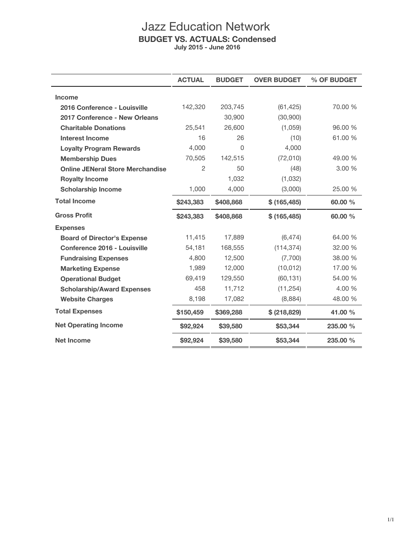## Jazz Education Network **BUDGET VS. ACTUALS: Condensed July 2015 - June 2016**

|                                         | <b>ACTUAL</b> | <b>BUDGET</b> | <b>OVER BUDGET</b> | % OF BUDGET |
|-----------------------------------------|---------------|---------------|--------------------|-------------|
| <b>Income</b>                           |               |               |                    |             |
| 2016 Conference - Louisville            | 142,320       | 203,745       | (61, 425)          | 70.00 %     |
| 2017 Conference - New Orleans           |               | 30,900        | (30,900)           |             |
| <b>Charitable Donations</b>             | 25,541        | 26,600        | (1,059)            | 96.00 %     |
| Interest Income                         | 16            | 26            | (10)               | 61.00 %     |
| <b>Loyalty Program Rewards</b>          | 4,000         | 0             | 4,000              |             |
| <b>Membership Dues</b>                  | 70,505        | 142,515       | (72,010)           | 49.00 %     |
| <b>Online JENeral Store Merchandise</b> | 2             | 50            | (48)               | 3.00%       |
| <b>Royalty Income</b>                   |               | 1,032         | (1,032)            |             |
| <b>Scholarship Income</b>               | 1,000         | 4,000         | (3,000)            | 25,00 %     |
| <b>Total Income</b>                     | \$243,383     | \$408,868     | \$(165, 485)       | 60.00 %     |
| <b>Gross Profit</b>                     | \$243,383     | \$408,868     | \$(165, 485)       | 60.00 %     |
| <b>Expenses</b>                         |               |               |                    |             |
| <b>Board of Director's Expense</b>      | 11,415        | 17,889        | (6, 474)           | 64.00 %     |
| Conference 2016 - Louisville            | 54,181        | 168,555       | (114, 374)         | 32.00 %     |
| <b>Fundraising Expenses</b>             | 4,800         | 12,500        | (7,700)            | 38.00 %     |
| <b>Marketing Expense</b>                | 1,989         | 12,000        | (10, 012)          | 17.00 %     |
| <b>Operational Budget</b>               | 69.419        | 129,550       | (60, 131)          | 54.00 %     |
| <b>Scholarship/Award Expenses</b>       | 458           | 11,712        | (11, 254)          | 4.00 %      |
| <b>Website Charges</b>                  | 8,198         | 17,082        | (8,884)            | 48.00 %     |
| <b>Total Expenses</b>                   | \$150,459     | \$369,288     | \$ (218, 829)      | 41.00 %     |
| <b>Net Operating Income</b>             | \$92,924      | \$39,580      | \$53,344           | 235,00 %    |
| <b>Net Income</b>                       | \$92,924      | \$39,580      | \$53,344           | 235.00 %    |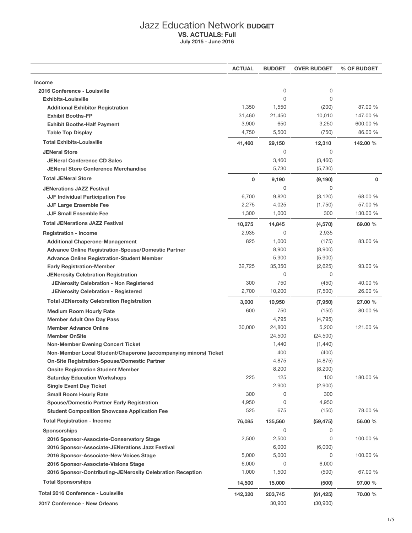## Jazz Education Network **BUDGET VS. ACTUALS: Full July 2015 - June 2016**

|                                                                                                                        | <b>ACTUAL</b> | <b>BUDGET</b>      | <b>OVER BUDGET</b>   | % OF BUDGET  |
|------------------------------------------------------------------------------------------------------------------------|---------------|--------------------|----------------------|--------------|
| <b>Income</b>                                                                                                          |               |                    |                      |              |
| 2016 Conference - Louisville                                                                                           |               | 0                  | 0                    |              |
| <b>Exhibits-Louisville</b>                                                                                             |               | $\Omega$           | 0                    |              |
| <b>Additional Exhibitor Registration</b>                                                                               | 1,350         | 1,550              | (200)                | 87.00 %      |
| <b>Exhibit Booths-FP</b>                                                                                               | 31,460        | 21,450             | 10,010               | 147.00 %     |
| <b>Exhibit Booths-Half Payment</b>                                                                                     | 3,900         | 650                | 3,250                | 600.00 %     |
| <b>Table Top Display</b>                                                                                               | 4,750         | 5,500              | (750)                | 86.00 %      |
| <b>Total Exhibits-Louisville</b>                                                                                       | 41,460        | 29,150             | 12,310               | 142.00 %     |
| <b>JENeral Store</b>                                                                                                   |               | $\mathbf 0$        | 0                    |              |
| <b>JENeral Conference CD Sales</b>                                                                                     |               | 3,460              | (3,460)              |              |
| <b>JENeral Store Conference Merchandise</b>                                                                            |               | 5,730              | (5,730)              |              |
| <b>Total JENeral Store</b>                                                                                             | $\mathbf 0$   | 9,190              | (9, 190)             | $\mathbf{0}$ |
|                                                                                                                        |               | $\Omega$           | 0                    |              |
| <b>JENerations JAZZ Festival</b><br><b>JJF Individual Participation Fee</b>                                            | 6,700         | 9,820              | (3, 120)             | 68.00 %      |
| <b>JJF Large Ensemble Fee</b>                                                                                          | 2,275         | 4,025              | (1,750)              | 57.00 %      |
| <b>JJF Small Ensemble Fee</b>                                                                                          | 1,300         | 1,000              | 300                  | 130.00 %     |
| <b>Total JENerations JAZZ Festival</b>                                                                                 |               |                    |                      |              |
|                                                                                                                        | 10,275        | 14,845             | (4,570)              | 69.00 %      |
| <b>Registration - Income</b>                                                                                           | 2,935         | $\mathbf 0$        | 2,935                |              |
| <b>Additional Chaperone-Management</b>                                                                                 | 825           | 1,000              | (175)                | 83.00 %      |
| <b>Advance Online Registration-Spouse/Domestic Partner</b>                                                             |               | 8,900              | (8,900)              |              |
| <b>Advance Online Registration-Student Member</b>                                                                      | 32,725        | 5,900              | (5,900)              | 93.00 %      |
| <b>Early Registration-Member</b>                                                                                       |               | 35,350<br>$\Omega$ | (2,625)<br>0         |              |
| <b>JENerosity Celebration Registration</b><br><b>JENerosity Celebration - Non Registered</b>                           | 300           | 750                | (450)                | 40.00 %      |
| <b>JENerosity Celebration - Registered</b>                                                                             | 2,700         | 10,200             | (7,500)              | 26.00 %      |
|                                                                                                                        |               |                    |                      |              |
| <b>Total JENerosity Celebration Registration</b>                                                                       | 3,000         | 10,950             | (7,950)              | 27.00 %      |
| <b>Medium Room Hourly Rate</b>                                                                                         | 600           | 750                | (150)                | 80.00 %      |
| <b>Member Adult One Day Pass</b>                                                                                       |               | 4,795              | (4, 795)             |              |
| <b>Member Advance Online</b>                                                                                           | 30,000        | 24,800             | 5,200                | 121.00 %     |
| <b>Member OnSite</b>                                                                                                   |               | 24,500<br>1,440    | (24, 500)<br>(1,440) |              |
| <b>Non-Member Evening Concert Ticket</b>                                                                               |               | 400                | (400)                |              |
| Non-Member Local Student/Chaperone (accompanying minors) Ticket<br><b>On-Site Registration-Spouse/Domestic Partner</b> |               | 4,875              | (4, 875)             |              |
| <b>Onsite Registration Student Member</b>                                                                              |               | 8,200              | (8, 200)             |              |
| <b>Saturday Education Workshops</b>                                                                                    | 225           | 125                | 100                  | 180.00 %     |
| <b>Single Event Day Ticket</b>                                                                                         |               | 2,900              | (2,900)              |              |
| <b>Small Room Hourly Rate</b>                                                                                          | 300           | 0                  | 300                  |              |
| <b>Spouse/Domestic Partner Early Registration</b>                                                                      | 4,950         | 0                  | 4,950                |              |
| <b>Student Composition Showcase Application Fee</b>                                                                    | 525           | 675                | (150)                | 78.00 %      |
| <b>Total Registration - Income</b>                                                                                     | 76,085        | 135,560            | (59, 475)            | 56.00 %      |
| <b>Sponsorships</b>                                                                                                    |               | 0                  | 0                    |              |
| 2016 Sponsor-Associate-Conservatory Stage                                                                              | 2,500         | 2,500              | 0                    | 100.00 %     |
| 2016 Sponsor-Associate-JENerations Jazz Festival                                                                       |               | 6,000              | (6,000)              |              |
| 2016 Sponsor-Associate-New Voices Stage                                                                                | 5,000         | 5,000              | 0                    | 100.00 %     |
| 2016 Sponsor-Associate-Visions Stage                                                                                   | 6,000         | 0                  | 6,000                |              |
| 2016 Sponsor-Contributing-JENerosity Celebration Reception                                                             | 1,000         | 1,500              | (500)                | 67.00 %      |
| <b>Total Sponsorships</b>                                                                                              | 14,500        | 15,000             | (500)                | 97.00 %      |
| <b>Total 2016 Conference - Louisville</b>                                                                              |               |                    |                      |              |
|                                                                                                                        | 142,320       | 203,745            | (61, 425)            | 70.00 %      |
| 2017 Conference - New Orleans                                                                                          |               | 30,900             | (30,900)             |              |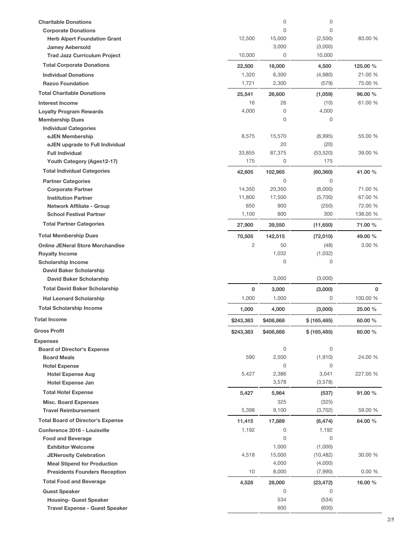| <b>Charitable Donations</b>              |                | $\mathbf 0$ | 0             |             |
|------------------------------------------|----------------|-------------|---------------|-------------|
| <b>Corporate Donations</b>               |                | 0           | 0             |             |
| <b>Herb Alpert Foundation Grant</b>      | 12,500         | 15,000      | (2,500)       | 83.00 %     |
| <b>Jamey Aebersold</b>                   |                | 3,000       | (3,000)       |             |
| <b>Trad Jazz Curriculum Project</b>      | 10,000         | 0           | 10,000        |             |
| <b>Total Corporate Donations</b>         | 22,500         | 18,000      | 4,500         | 125.00 %    |
| <b>Individual Donations</b>              | 1,320          | 6,300       | (4,980)       | 21.00 %     |
| <b>Razoo Foundation</b>                  | 1,721          | 2,300       | (579)         | 75.00 %     |
| <b>Total Charitable Donations</b>        | 25,541         | 26,600      | (1,059)       | 96.00 %     |
| <b>Interest Income</b>                   | 16             | 26          | (10)          | 61.00 %     |
| <b>Loyalty Program Rewards</b>           | 4,000          | $\mathbf 0$ | 4,000         |             |
| <b>Membership Dues</b>                   |                | 0           | 0             |             |
| <b>Individual Categories</b>             |                |             |               |             |
| eJEN Membership                          | 8,575          | 15,570      | (6,995)       | 55.00 %     |
| eJEN upgrade to Full Individual          |                | 20          | (20)          |             |
| <b>Full Individual</b>                   | 33,855         | 87,375      | (53, 520)     | 39.00 %     |
| Youth Category (Ages12-17)               | 175            | 0           | 175           |             |
| <b>Total Individual Categories</b>       | 42,605         | 102,965     | (60, 360)     | 41.00 %     |
| <b>Partner Categories</b>                |                | 0           | 0             |             |
| <b>Corporate Partner</b>                 | 14,350         | 20,350      | (6,000)       | 71.00 %     |
| <b>Institution Partner</b>               | 11,800         | 17,500      | (5,700)       | 67.00 %     |
| <b>Network Affiliate - Group</b>         | 650            | 900         | (250)         | 72.00 %     |
| <b>School Festival Partner</b>           | 1,100          | 800         | 300           | 138.00 %    |
| <b>Total Partner Categories</b>          | 27,900         | 39,550      | (11,650)      | 71.00 %     |
| <b>Total Membership Dues</b>             | 70,505         | 142,515     | (72,010)      | 49.00 %     |
| <b>Online JENeral Store Merchandise</b>  | $\overline{c}$ | 50          | (48)          | 3.00 %      |
| <b>Royalty Income</b>                    |                | 1,032       | (1,032)       |             |
| <b>Scholarship Income</b>                |                | 0           | 0             |             |
| <b>David Baker Scholarship</b>           |                |             |               |             |
| <b>David Baker Scholarship</b>           |                | 3,000       | (3,000)       |             |
| <b>Total David Baker Scholarship</b>     | 0              | 3,000       | (3,000)       | $\mathbf 0$ |
| <b>Hal Leonard Scholarship</b>           | 1,000          | 1,000       | 0             | 100.00 %    |
| <b>Total Scholarship Income</b>          | 1,000          | 4,000       | (3,000)       | 25.00 %     |
| <b>Total Income</b>                      | \$243,383      | \$408,868   | \$ (165, 485) | 60.00 %     |
| <b>Gross Profit</b>                      | \$243,383      | \$408,868   | \$(165, 485)  | 60.00 %     |
| <b>Expenses</b>                          |                |             |               |             |
| <b>Board of Director's Expense</b>       |                | $\mathbf 0$ | 0             |             |
| <b>Board Meals</b>                       | 590            | 2,500       | (1, 910)      | 24.00 %     |
| <b>Hotel Expense</b>                     |                | 0           | 0             |             |
| <b>Hotel Expense Aug</b>                 | 5,427          | 2,386       | 3,041         | 227.00 %    |
| <b>Hotel Expense Jan</b>                 |                | 3,578       | (3,578)       |             |
| <b>Total Hotel Expense</b>               | 5,427          | 5,964       | (537)         | 91.00 %     |
| <b>Misc. Board Expenses</b>              |                | 325         | (325)         |             |
| <b>Travel Reimbursement</b>              | 5,398          | 9,100       | (3,702)       | 59.00 %     |
| <b>Total Board of Director's Expense</b> | 11,415         | 17,889      | (6, 474)      | 64.00 %     |
| Conference 2016 - Louisville             | 1,192          | 0           | 1,192         |             |
| <b>Food and Beverage</b>                 |                | 0           | 0             |             |
| <b>Exhibitor Welcome</b>                 |                | 1,000       | (1,000)       |             |
| <b>JENerosity Celebration</b>            | 4,518          | 15,000      | (10, 482)     | 30.00 %     |
| <b>Meal Stipend for Production</b>       |                | 4,000       | (4,000)       |             |
| <b>Presidents Founders Reception</b>     | 10             | 8,000       | (7,990)       | 0.00%       |
| <b>Total Food and Beverage</b>           | 4,528          | 28,000      | (23, 472)     | 16.00 %     |
| <b>Guest Speaker</b>                     |                | $\mathbf 0$ | 0             |             |
| <b>Housing- Guest Speaker</b>            |                | 534<br>600  | (534)         |             |
| <b>Travel Expense - Guest Speaker</b>    |                |             | (600)         |             |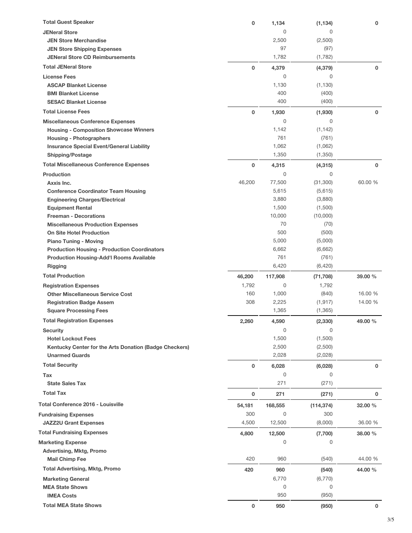| <b>Total Guest Speaker</b>                                        | 0           | 1,134          | (1, 134)             | 0       |
|-------------------------------------------------------------------|-------------|----------------|----------------------|---------|
| <b>JENeral Store</b>                                              |             | 0              | 0                    |         |
| <b>JEN Store Merchandise</b>                                      |             | 2,500          | (2,500)              |         |
| <b>JEN Store Shipping Expenses</b>                                |             | 97             | (97)                 |         |
| <b>JENeral Store CD Reimbursements</b>                            |             | 1,782          | (1,782)              |         |
| <b>Total JENeral Store</b>                                        | 0           | 4,379          | (4, 379)             | 0       |
| <b>License Fees</b>                                               |             | 0              | 0                    |         |
| <b>ASCAP Blanket License</b>                                      |             | 1,130          | (1, 130)             |         |
| <b>BMI Blanket License</b>                                        |             | 400            | (400)                |         |
| <b>SESAC Blanket License</b>                                      |             | 400            | (400)                |         |
| <b>Total License Fees</b>                                         | $\mathbf 0$ | 1,930          | (1,930)              | 0       |
| <b>Miscellaneous Conference Expenses</b>                          |             | 0              | 0                    |         |
| <b>Housing - Composition Showcase Winners</b>                     |             | 1,142          | (1, 142)             |         |
| <b>Housing - Photographers</b>                                    |             | 761            | (761)                |         |
| <b>Insurance Special Event/General Liability</b>                  |             | 1,062          | (1,062)              |         |
| <b>Shipping/Postage</b>                                           |             | 1,350          | (1,350)              |         |
| <b>Total Miscellaneous Conference Expenses</b>                    | 0           | 4,315          | (4, 315)             | 0       |
| <b>Production</b>                                                 |             | 0              | $\mathbf 0$          |         |
| Axxis Inc.                                                        | 46,200      | 77,500         | (31, 300)            | 60.00 % |
| <b>Conference Coordinator Team Housing</b>                        |             | 5,615          | (5,615)              |         |
| <b>Engineering Charges/Electrical</b>                             |             | 3,880          | (3,880)              |         |
| <b>Equipment Rental</b>                                           |             | 1,500          | (1,500)              |         |
| <b>Freeman - Decorations</b>                                      |             | 10,000         | (10,000)             |         |
| <b>Miscellaneous Production Expenses</b>                          |             | 70             | (70)                 |         |
| <b>On Site Hotel Production</b>                                   |             | 500            | (500)                |         |
| <b>Piano Tuning - Moving</b>                                      |             | 5,000          | (5,000)              |         |
| <b>Production Housing - Production Coordinators</b>               |             | 6,662<br>761   | (6,662)<br>(761)     |         |
| <b>Production Housing-Add'l Rooms Available</b><br><b>Rigging</b> |             | 6,420          | (6, 420)             |         |
|                                                                   |             |                |                      |         |
| <b>Total Production</b>                                           | 46,200      | 117,908        | (71, 708)            | 39.00 % |
| <b>Registration Expenses</b>                                      | 1,792       | 0              | 1,792                |         |
| <b>Other Miscellaneous Service Cost</b>                           | 160<br>308  | 1,000          | (840)                | 16.00 % |
| <b>Registration Badge Assem</b><br><b>Square Processing Fees</b>  |             | 2,225<br>1,365 | (1, 917)<br>(1, 365) | 14.00 % |
|                                                                   |             |                |                      |         |
| <b>Total Registration Expenses</b>                                | 2,260       | 4,590          | (2, 330)             | 49.00 % |
| <b>Security</b>                                                   |             | 0              | 0                    |         |
| <b>Hotel Lockout Fees</b>                                         |             | 1,500          | (1,500)              |         |
| Kentucky Center for the Arts Donation (Badge Checkers)            |             | 2,500          | (2,500)              |         |
| <b>Unarmed Guards</b>                                             |             | 2,028          | (2,028)              |         |
| <b>Total Security</b>                                             | $\mathbf 0$ | 6,028          | (6,028)              | 0       |
| Tax                                                               |             | $\mathbf 0$    | 0                    |         |
| <b>State Sales Tax</b>                                            |             | 271            | (271)                |         |
| <b>Total Tax</b>                                                  | 0           | 271            | (271)                | 0       |
| <b>Total Conference 2016 - Louisville</b>                         | 54,181      | 168,555        | (114, 374)           | 32.00 % |
| <b>Fundraising Expenses</b>                                       | 300         | $\mathbf 0$    | 300                  |         |
| <b>JAZZ2U Grant Expenses</b>                                      | 4,500       | 12,500         | (8,000)              | 36.00 % |
| <b>Total Fundraising Expenses</b>                                 | 4,800       | 12,500         | (7,700)              | 38.00 % |
| <b>Marketing Expense</b>                                          |             | 0              | 0                    |         |
| Advertising, Mktg, Promo                                          |             |                |                      |         |
| <b>Mail Chimp Fee</b>                                             | 420         | 960            | (540)                | 44.00 % |
| <b>Total Advertising, Mktg, Promo</b>                             | 420         | 960            | (540)                | 44.00 % |
| <b>Marketing General</b>                                          |             | 6,770          | (6,770)              |         |
| <b>MEA State Shows</b>                                            |             | 0              | 0                    |         |
| <b>IMEA Costs</b>                                                 |             | 950            | (950)                |         |
| <b>Total MEA State Shows</b>                                      | $\mathbf 0$ | 950            | (950)                | 0       |
|                                                                   |             |                |                      |         |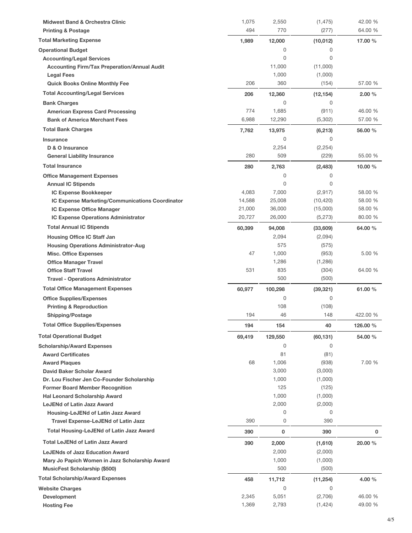| <b>Midwest Band &amp; Orchestra Clinic</b>                     | 1,075  | 2,550          | (1, 475)         | 42.00 %            |
|----------------------------------------------------------------|--------|----------------|------------------|--------------------|
| <b>Printing &amp; Postage</b>                                  | 494    | 770            | (277)            | 64.00 %            |
| <b>Total Marketing Expense</b>                                 | 1,989  | 12,000         | (10, 012)        | 17.00 %            |
| <b>Operational Budget</b>                                      |        | 0              | 0                |                    |
| <b>Accounting/Legal Services</b>                               |        | $\mathbf 0$    | 0                |                    |
| <b>Accounting Firm/Tax Preperation/Annual Audit</b>            |        | 11,000         | (11,000)         |                    |
| <b>Legal Fees</b>                                              |        | 1,000          | (1,000)          |                    |
| <b>Quick Books Online Monthly Fee</b>                          | 206    | 360            | (154)            | 57.00 %            |
| <b>Total Accounting/Legal Services</b>                         | 206    | 12,360         | (12, 154)        | 2.00 %             |
| <b>Bank Charges</b>                                            |        | 0              | 0                |                    |
| <b>American Express Card Processing</b>                        | 774    | 1,685          | (911)            | 46.00 %            |
| <b>Bank of America Merchant Fees</b>                           | 6,988  | 12,290         | (5,302)          | 57.00 %            |
| <b>Total Bank Charges</b>                                      | 7,762  | 13,975         | (6, 213)         | 56.00 %            |
| Insurance                                                      |        | 0              | 0                |                    |
| D & O Insurance                                                |        | 2,254          | (2, 254)         |                    |
| <b>General Liability Insurance</b>                             | 280    | 509            | (229)            | 55.00 %            |
| <b>Total Insurance</b>                                         | 280    | 2,763          | (2, 483)         | 10.00 $%$          |
| <b>Office Management Expenses</b>                              |        | 0              | 0                |                    |
| <b>Annual IC Stipends</b>                                      |        | $\mathbf 0$    | 0                |                    |
| <b>IC Expense Bookkeeper</b>                                   | 4,083  | 7,000          | (2,917)          | 58.00 %            |
| IC Expense Marketing/Communications Coordinator                | 14,588 | 25,008         | (10, 420)        | 58.00 %            |
| IC Expense Office Manager                                      | 21,000 | 36,000         | (15,000)         | 58.00 %            |
| <b>IC Expense Operations Administrator</b>                     | 20,727 | 26,000         | (5, 273)         | 80.00 %            |
| <b>Total Annual IC Stipends</b>                                | 60,399 | 94,008         | (33,609)         | 64.00 %            |
| <b>Housing Office IC Staff Jan</b>                             |        | 2,094          | (2,094)          |                    |
| <b>Housing Operations Administrator-Aug</b>                    |        | 575            | (575)            |                    |
| <b>Misc. Office Expenses</b>                                   | 47     | 1,000          | (953)            | 5.00 %             |
| <b>Office Manager Travel</b>                                   |        | 1,286          | (1,286)          |                    |
| <b>Office Staff Travel</b>                                     | 531    | 835            | (304)            | 64.00 %            |
| <b>Travel - Operations Administrator</b>                       |        | 500            | (500)            |                    |
| <b>Total Office Management Expenses</b>                        | 60,977 | 100,298        | (39, 321)        | 61.00 %            |
| <b>Office Supplies/Expenses</b>                                |        | 0              | 0                |                    |
| <b>Printing &amp; Reproduction</b>                             |        | 108            | (108)            |                    |
| <b>Shipping/Postage</b>                                        | 194    | 46             | 148              | 422.00 %           |
| <b>Total Office Supplies/Expenses</b>                          | 194    | 154            | 40               | 126.00 %           |
| <b>Total Operational Budget</b>                                |        |                |                  |                    |
|                                                                | 69,419 | 129,550<br>0   | (60, 131)<br>0   | 54.00 %            |
| <b>Scholarship/Award Expenses</b><br><b>Award Certificates</b> |        | 81             | (81)             |                    |
| <b>Award Plaques</b>                                           | 68     | 1,006          | (938)            | 7.00 %             |
| David Baker Scholar Award                                      |        | 3,000          | (3,000)          |                    |
| Dr. Lou Fischer Jen Co-Founder Scholarship                     |        | 1,000          | (1,000)          |                    |
| <b>Former Board Member Recognition</b>                         |        | 125            | (125)            |                    |
| <b>Hal Leonard Scholarship Award</b>                           |        | 1,000          | (1,000)          |                    |
| <b>LeJENd of Latin Jazz Award</b>                              |        | 2,000          | (2,000)          |                    |
| Housing-LeJENd of Latin Jazz Award                             |        | $\mathbf 0$    | 0                |                    |
| Travel Expense-LeJENd of Latin Jazz                            | 390    | 0              | 390              |                    |
| <b>Total Housing-LeJENd of Latin Jazz Award</b>                | 390    | 0              | 390              | 0                  |
| <b>Total LeJENd of Latin Jazz Award</b>                        | 390    |                |                  | 20.00 %            |
| <b>LeJENds of Jazz Education Award</b>                         |        | 2,000          | (1,610)          |                    |
| Mary Jo Papich Women in Jazz Scholarship Award                 |        | 2,000<br>1,000 | (2,000)          |                    |
| <b>MusicFest Scholarship (\$500)</b>                           |        | 500            | (1,000)<br>(500) |                    |
|                                                                |        |                |                  |                    |
| <b>Total Scholarship/Award Expenses</b>                        | 458    | 11,712         | (11, 254)        | 4.00 %             |
| <b>Website Charges</b>                                         |        | 0              | 0                |                    |
| <b>Development</b>                                             | 2,345  | 5,051          | (2,706)          | 46.00 %<br>49.00 % |
| <b>Hosting Fee</b>                                             | 1,369  | 2,793          | (1,424)          |                    |